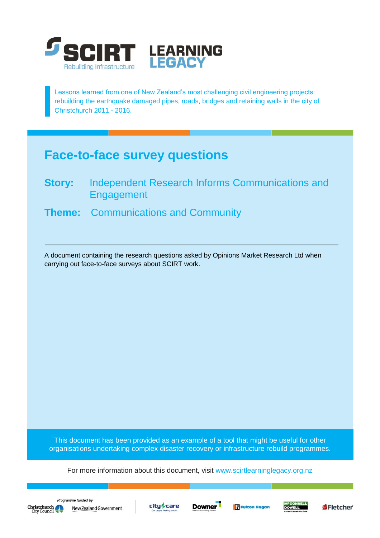

Lessons learned from one of New Zealand's most challenging civil engineering projects: rebuilding the earthquake damaged pipes, roads, bridges and retaining walls in the city of Christchurch 2011 - 2016.

# **Face-to-face survey questions**

- **Story:** Independent Research Informs Communications and Engagement
- **Theme:** Communications and Community

A document containing the research questions asked by Opinions Market Research Ltd when carrying out face-to-face surveys about SCIRT work.

This document has been provided as an example of a tool that might be useful for other organisations undertaking complex disaster recovery or infrastructure rebuild programmes.

For more information about this document, visit [www.scirtlearninglegacy.org.nz](http://www.scirtlearninglegacy.org.nz/)









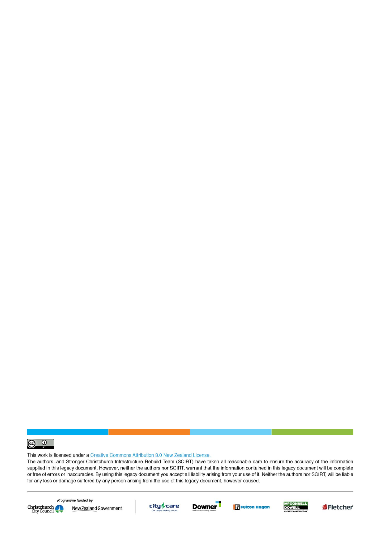

This work is licensed under a Creative Commons Attribution 3.0 New Zealand License.

The authors, and Stronger Christchurch Infrastructure Rebuild Team (SCIRT) have taken all reasonable care to ensure the accuracy of the information supplied in this legacy document. However, neither the authors nor SCIRT, warrant that the information contained in this legacy document will be complete or free of errors or inaccuracies. By using this legacy document you accept all liability arising from your use of it. Neither the authors nor SCIRT, will be liable for any loss or damage suffered by any person arising from the use of this legacy document, however caused.



Programme funded by New Zealand Government









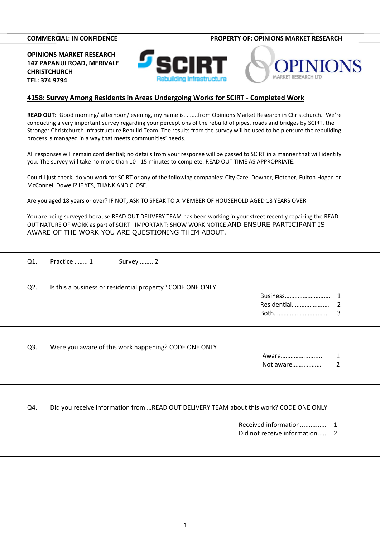**COMMERCIAL: IN CONFIDENCE PROPERTY OF: OPINIONS MARKET RESEARCH**

**OPINIONS MARKET RESEARCH 147 PAPANUI ROAD, MERIVALE CHRISTCHURCH [TEL: 374](TEL:374) 9794**





#### **4158: Survey Among Residents in Areas Undergoing Works for SCIRT - Completed Work**

**READ OUT:** Good morning/ afternoon/ evening, my name is.........from Opinions Market Research in Christchurch. We're conducting a very important survey regarding your perceptions of the rebuild of pipes, roads and bridges by SCIRT, the Stronger Christchurch Infrastructure Rebuild Team. The results from the survey will be used to help ensure the rebuilding process is managed in a way that meets communities' needs.

All responses will remain confidential; no details from your response will be passed to SCIRT in a manner that will identify you. The survey will take no more than 10 - 15 minutes to complete. READ OUT TIME AS APPROPRIATE.

Could I just check, do you work for SCIRT or any of the following companies: City Care, Downer, Fletcher, Fulton Hogan or McConnell Dowell? IF YES, THANK AND CLOSE.

Are you aged 18 years or over? IF NOT, ASK TO SPEAK TO A MEMBER OF HOUSEHOLD AGED 18 YEARS OVER

You are being surveyed because READ OUT DELIVERY TEAM has been working in your street recently repairing the READ OUT NATURE OF WORK as part of SCIRT. IMPORTANT: SHOW WORK NOTICE AND ENSURE PARTICIPANT IS AWARE OF THE WORK YOU ARE QUESTIONING THEM ABOUT.

| Q1.              | Practice  1 | Survey  2                                                 |                         |        |
|------------------|-------------|-----------------------------------------------------------|-------------------------|--------|
| $Q2$ .           |             | Is this a business or residential property? CODE ONE ONLY | Business<br>Residential | 2<br>3 |
| Q <sub>3</sub> . |             | Were you aware of this work happening? CODE ONE ONLY      | Aware<br>Not aware      | 1      |

Q4. Did you receive information from …READ OUT DELIVERY TEAM about this work? CODE ONE ONLY

Received information............... 1

Did not receive information..... 2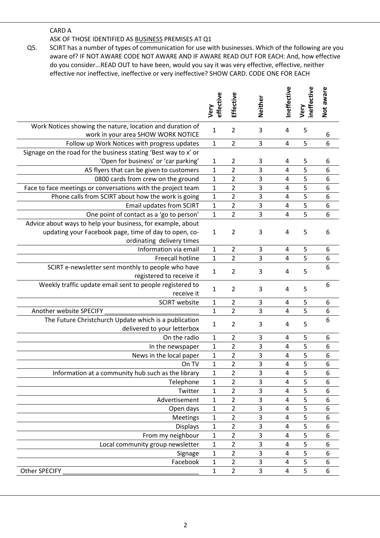### CARD A

ASK OF THOSE IDENTIFIED AS BUSINESS PREMISES AT Q1

Q5. SCIRT has a number of types of communication for use with businesses. Which of the following are you aware of? IF NOT AWARE CODE NOT AWARE AND IF AWARE READ OUT FOR EACH: And, how effective do you consider...READ OUT to have been, would you say it was very effective, effective, neither effective nor ineffective, ineffective or very ineffective? SHOW CARD. CODE ONE FOR EACH

|                                                                                                                                                   | effective<br>Very           | Effective                        | Neither | neffective              | ineffective<br>Very | Not aware        |
|---------------------------------------------------------------------------------------------------------------------------------------------------|-----------------------------|----------------------------------|---------|-------------------------|---------------------|------------------|
| Work Notices showing the nature, location and duration of                                                                                         | $\mathbf{1}$                | $\overline{2}$                   | 3       | $\overline{a}$          | 5                   |                  |
| work in your area SHOW WORK NOTICE<br>Follow up Work Notices with progress updates                                                                | $\mathbf{1}$                | $\overline{2}$                   | 3       | $\overline{a}$          | 5                   | 6<br>6           |
| Signage on the road for the business stating 'Best way to x' or                                                                                   |                             |                                  |         |                         |                     |                  |
| 'Open for business' or 'car parking'                                                                                                              | $\mathbf{1}$                | $\overline{2}$                   | 3       | 4                       | 5                   | 6                |
| A5 flyers that can be given to customers                                                                                                          | $\mathbf{1}$                | $\overline{2}$                   | 3       | $\overline{a}$          | 5                   | 6                |
| 0800 cards from crew on the ground                                                                                                                | $\mathbf{1}$                | $\overline{2}$                   | 3       | $\overline{4}$          | 5                   | 6                |
| Face to face meetings or conversations with the project team                                                                                      | $\mathbf{1}$                | $\overline{2}$                   | 3       | 4                       | 5                   | 6                |
| Phone calls from SCIRT about how the work is going                                                                                                | $\mathbf{1}$                | $\overline{2}$                   | 3       | 4                       | 5                   | 6                |
| <b>Email updates from SCIRT</b>                                                                                                                   | $\mathbf{1}$                | $\overline{2}$                   | 3       | $\overline{a}$          | 5                   | $\boldsymbol{6}$ |
| One point of contact as a 'go to person'                                                                                                          | $\mathbf{1}$                | $\overline{2}$                   | 3       | $\overline{4}$          | 5                   | 6                |
| Advice about ways to help your business, for example, about<br>updating your Facebook page, time of day to open, co-<br>ordinating delivery times | $\mathbf{1}$                | $\overline{2}$                   | 3       | 4                       | 5                   | 6                |
| Information via email                                                                                                                             | $\mathbf{1}$                | $\overline{2}$                   | 3       | 4                       | 5                   | 6                |
| Freecall hotline                                                                                                                                  | $\mathbf{1}$                | $\overline{2}$                   | 3       | $\overline{4}$          | $\overline{5}$      | $\boldsymbol{6}$ |
| SCIRT e-newsletter sent monthly to people who have<br>registered to receive it                                                                    | $\mathbf{1}$                | $\overline{2}$                   | 3       | 4                       | 5                   | 6                |
| Weekly traffic update email sent to people registered to<br>receive it                                                                            | 1                           | $\overline{2}$                   | 3       | 4                       | 5                   | 6                |
| <b>SCIRT</b> website                                                                                                                              | $\mathbf{1}$                | $\overline{2}$                   | 3       | $\overline{4}$          | 5                   | 6                |
| Another website SPECIFY                                                                                                                           | $\mathbf{1}$                | $\overline{2}$                   | 3       | $\overline{4}$          | 5                   | $\boldsymbol{6}$ |
| The Future Christchurch Update which is a publication<br>delivered to your letterbox                                                              | $\mathbf{1}$                | $\overline{2}$                   | 3       | 4                       | 5                   | 6                |
| On the radio                                                                                                                                      | $\mathbf{1}$                | $\overline{2}$                   | 3       | 4                       | 5                   | 6                |
| In the newspaper                                                                                                                                  | $\mathbf{1}$                | $\overline{2}$                   | 3       | $\overline{4}$          | 5                   | $\boldsymbol{6}$ |
| News in the local paper                                                                                                                           | $\mathbf{1}$                | $\overline{2}$                   | 3       | $\overline{4}$          | 5                   | 6                |
| On TV                                                                                                                                             | $\mathbf{1}$                | $\overline{2}$                   | 3       | $\overline{a}$          | 5                   | $\boldsymbol{6}$ |
| Information at a community hub such as the library                                                                                                | $\mathbf 1$                 | $\overline{2}$                   | 3       | 4                       | 5                   | 6                |
| Telephone                                                                                                                                         | $\mathbf{1}$                | $\overline{2}$                   | 3       | 4                       | 5                   | 6                |
| Twitter                                                                                                                                           | $\mathbf{1}$                | $\overline{2}$                   | 3       | 4                       | 5                   | 6                |
| Advertisement                                                                                                                                     | 1                           | 2                                | 3       | 4                       | 5                   | 6                |
| Open days                                                                                                                                         | $\mathbf 1$                 | $\overline{2}$                   | 3       | 4                       | 5                   | 6                |
| <b>Meetings</b>                                                                                                                                   | $\mathbf 1$                 | $\overline{2}$                   | 3       | 4                       | 5                   | 6                |
| <b>Displays</b>                                                                                                                                   | $\mathbf{1}$                | $\overline{2}$                   | 3       | 4                       | 5                   | 6                |
| From my neighbour                                                                                                                                 | $\mathbf{1}$                | 2                                | 3       | 4                       | 5                   | 6                |
| Local community group newsletter                                                                                                                  | $\mathbf{1}$<br>$\mathbf 1$ | $\overline{2}$<br>$\overline{2}$ | 3<br>3  | 4<br>$\overline{4}$     | 5<br>5              | 6<br>6           |
| Signage<br>Facebook                                                                                                                               | $\mathbf{1}$                | $\overline{2}$                   | 3       | 4                       | 5                   | 6                |
| <b>Other SPECIFY</b>                                                                                                                              | 1                           | $\overline{2}$                   | 3       | $\overline{\mathbf{4}}$ | 5                   | 6                |
|                                                                                                                                                   |                             |                                  |         |                         |                     |                  |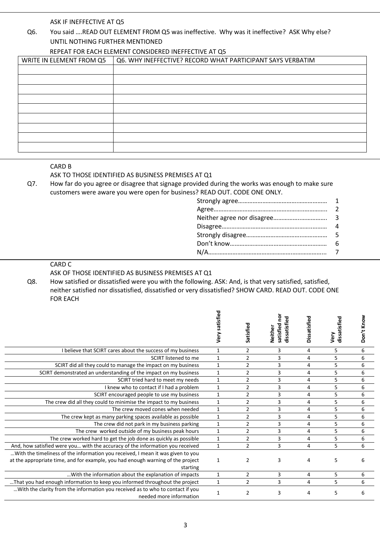ASK IF INEFFECTIVE AT Q5

## Q6. You said ….READ OUT ELEMENT FROM Q5 was ineffective. Why was it ineffective? ASK Why else? UNTIL NOTHING FURTHER MENTIONED

#### REPEAT FOR EACH ELEMENT CONSIDERED INEFFECTIVE AT Q5

| WRITE IN ELEMENT FROM Q5 | Q6. WHY INEFFECTIVE? RECORD WHAT PARTICIPANT SAYS VERBATIM |
|--------------------------|------------------------------------------------------------|
|                          |                                                            |
|                          |                                                            |
|                          |                                                            |
|                          |                                                            |
|                          |                                                            |
|                          |                                                            |
|                          |                                                            |
|                          |                                                            |
|                          |                                                            |

#### CARD B

#### ASK TO THOSE IDENTIFIED AS BUSINESS PREMISES AT Q1

Q7. How far do you agree or disagree that signage provided during the works was enough to make sure customers were aware you were open for business? READ OUT. CODE ONE ONLY.

### CARD C

ASK OF THOSE IDENTIFIED AS BUSINESS PREMISES AT Q1

Q8. How satisfied or dissatisfied were you with the following. ASK: And, is that very satisfied, satisfied, neither satisfied nor dissatisfied, dissatisfied or very dissatisfied? SHOW CARD. READ OUT. CODE ONE FOR EACH

|                                                                                                           | Very satisfied | Satisfied      | satisfied no<br>dissatisfied<br>Neither | Dissatisfied | dissatisfied<br>Very | Don't Know |
|-----------------------------------------------------------------------------------------------------------|----------------|----------------|-----------------------------------------|--------------|----------------------|------------|
| I believe that SCIRT cares about the success of my business                                               | 1              | $\overline{2}$ | 3                                       | 4            | 5                    | 6          |
| SCIRT listened to me                                                                                      | $\mathbf{1}$   | $\overline{2}$ | 3                                       | 4            | 5                    | 6          |
| SCIRT did all they could to manage the impact on my business                                              | $\mathbf{1}$   | $\overline{2}$ | 3                                       | 4            | 5                    | 6          |
| SCIRT demonstrated an understanding of the impact on my business                                          | $\mathbf{1}$   | $\overline{2}$ | 3                                       | 4            | 5                    | 6          |
| SCIRT tried hard to meet my needs                                                                         | $\mathbf{1}$   | $\overline{2}$ | 3                                       | 4            | 5                    | 6          |
| I knew who to contact if I had a problem                                                                  | $\mathbf{1}$   | $\overline{2}$ | 3                                       | 4            | 5                    | 6          |
| SCIRT encouraged people to use my business                                                                | $\mathbf{1}$   | $\overline{2}$ | 3                                       | 4            | 5                    | 6          |
| The crew did all they could to minimise the impact to my business                                         | $\mathbf{1}$   | $\overline{2}$ | 3                                       | 4            | 5                    | 6          |
| The crew moved cones when needed                                                                          | $\mathbf{1}$   | 2              | 3                                       | 4            | 5                    | 6          |
| The crew kept as many parking spaces available as possible                                                | 1              | $\overline{2}$ | 3                                       | 4            | 5                    | 6          |
| The crew did not park in my business parking                                                              | $\mathbf{1}$   | $\overline{2}$ | 3                                       | 4            | 5                    | 6          |
| The crew worked outside of my business peak hours                                                         | $\mathbf{1}$   | $\overline{2}$ | 3                                       | 4            | 5                    | 6          |
| The crew worked hard to get the job done as quickly as possible                                           | $\mathbf{1}$   | $\overline{2}$ | 3                                       | 4            | 5                    | 6          |
| And, how satisfied were you with the accuracy of the information you received                             | $\mathbf{1}$   | $\overline{2}$ | 3                                       | 4            | 5                    | 6          |
| With the timeliness of the information you received, I mean it was given to you                           |                |                |                                         |              |                      |            |
| at the appropriate time, and for example, you had enough warning of the project                           | $\mathbf{1}$   | $\overline{2}$ | 3                                       | 4            | 5                    | 6          |
| starting                                                                                                  |                |                |                                         |              |                      |            |
| With the information about the explanation of impacts                                                     | 1              | $\overline{2}$ | 3                                       | 4            | 5                    | 6          |
| That you had enough information to keep you informed throughout the project                               | $\mathbf{1}$   | $\overline{2}$ | 3                                       | 4            | 5                    | 6          |
| With the clarity from the information you received as to who to contact if you<br>needed more information | $\mathbf{1}$   | $\overline{2}$ | $\overline{3}$                          | 4            | 5                    | 6          |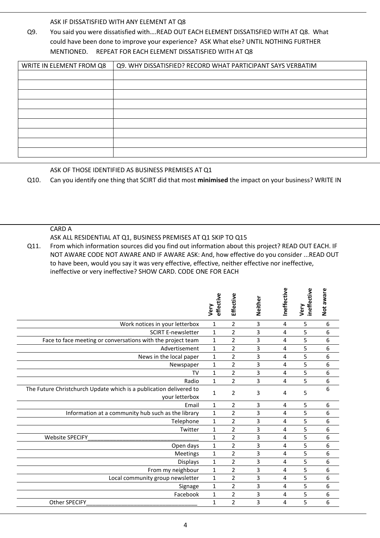ASK IF DISSATISFIED WITH ANY ELEMENT AT Q8

Q9. You said you were dissatisfied with….READ OUT EACH ELEMENT DISSATISFIED WITH AT Q8. What could have been done to improve your experience? ASK What else? UNTIL NOTHING FURTHER MENTIONED. REPEAT FOR EACH ELEMENT DISSATISFIED WITH AT Q8

| WRITE IN ELEMENT FROM Q8 | Q9. WHY DISSATISFIED? RECORD WHAT PARTICIPANT SAYS VERBATIM |
|--------------------------|-------------------------------------------------------------|
|                          |                                                             |
|                          |                                                             |
|                          |                                                             |
|                          |                                                             |
|                          |                                                             |
|                          |                                                             |
|                          |                                                             |
|                          |                                                             |
|                          |                                                             |

### ASK OF THOSE IDENTIFIED AS BUSINESS PREMISES AT Q1

Q10. Can you identify one thing that SCIRT did that most **minimised** the impact on your business? WRITE IN

#### CARD A

ASK ALL RESIDENTIAL AT Q1, BUSINESS PREMISES AT Q1 SKIP TO Q15

Q11. From which information sources did you find out information about this project? READ OUT EACH. IF NOT AWARE CODE NOT AWARE AND IF AWARE ASK: And, how effective do you consider ...READ OUT to have been, would you say it was very effective, effective, neither effective nor ineffective, ineffective or very ineffective? SHOW CARD. CODE ONE FOR EACH

|                                                                                      | effective<br>Very | Effective      | Neither        | Ineffective | ineffective<br>Very | Not aware |  |
|--------------------------------------------------------------------------------------|-------------------|----------------|----------------|-------------|---------------------|-----------|--|
| Work notices in your letterbox                                                       | $\mathbf{1}$      | $\overline{2}$ | 3              | 4           | 5                   | 6         |  |
| <b>SCIRT E-newsletter</b>                                                            | $\mathbf{1}$      | $\overline{2}$ | 3              | 4           | 5                   | 6         |  |
| Face to face meeting or conversations with the project team                          | $\mathbf{1}$      | $\overline{2}$ | 3              | 4           | 5                   | 6         |  |
| Advertisement                                                                        | $\mathbf{1}$      | $\overline{2}$ | 3              | 4           | 5                   | 6         |  |
| News in the local paper                                                              | $\mathbf{1}$      | $\overline{2}$ | 3              | 4           | 5                   | 6         |  |
| Newspaper                                                                            | $\mathbf{1}$      | $\overline{2}$ | 3              | 4           | 5                   | 6         |  |
| TV                                                                                   | $\mathbf{1}$      | $\overline{2}$ | 3              | 4           | 5                   | 6         |  |
| Radio                                                                                | $\mathbf{1}$      | $\overline{2}$ | $\overline{3}$ | 4           | 5                   | 6         |  |
| The Future Christchurch Update which is a publication delivered to<br>your letterbox | $\mathbf{1}$      | $\overline{2}$ | 3              | 4           | 5                   | 6         |  |
| Email                                                                                | 1                 | $\overline{2}$ | 3              | 4           | 5                   | 6         |  |
| Information at a community hub such as the library                                   | $\mathbf{1}$      | $\overline{2}$ | 3              | 4           | 5                   | 6         |  |
| Telephone                                                                            | $\mathbf{1}$      | $\overline{2}$ | 3              | 4           | 5                   | 6         |  |
| Twitter                                                                              | $\mathbf{1}$      | $\overline{2}$ | 3              | 4           | 5                   | 6         |  |
| <b>Website SPECIFY</b>                                                               | $\mathbf{1}$      | $\overline{2}$ | 3              | 4           | 5                   | 6         |  |
| Open days                                                                            | 1                 | $\overline{2}$ | 3              | 4           | 5                   | 6         |  |
| Meetings                                                                             | $\mathbf{1}$      | $\overline{2}$ | 3              | 4           | 5                   | 6         |  |
| <b>Displays</b>                                                                      | $\mathbf{1}$      | $\overline{2}$ | 3              | 4           | 5                   | 6         |  |
| From my neighbour                                                                    | $\mathbf{1}$      | 2              | 3              | 4           | 5                   | 6         |  |
| Local community group newsletter                                                     | $\mathbf{1}$      | $\overline{2}$ | 3              | 4           | 5                   | 6         |  |
| Signage                                                                              | $\mathbf{1}$      | 2              | 3              | 4           | 5                   | 6         |  |
| Facebook                                                                             | $\mathbf{1}$      | $\overline{2}$ | 3              | 4           | 5                   | 6         |  |
| Other SPECIFY                                                                        | $\mathbf{1}$      | $\overline{2}$ | 3              | 4           | 5                   | 6         |  |
|                                                                                      |                   |                |                |             |                     |           |  |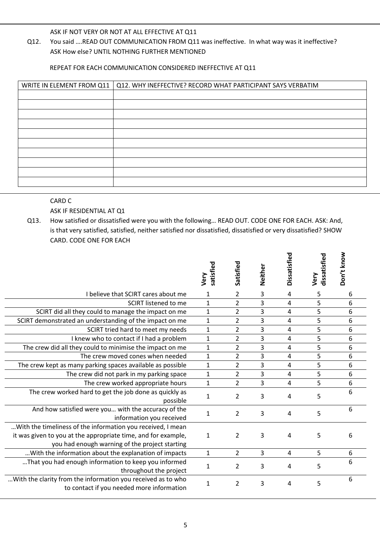ASK IF NOT VERY OR NOT AT ALL EFFECTIVE AT Q11

Q12. You said ….READ OUT COMMUNICATION FROM Q11 was ineffective. In what way was it ineffective? ASK How else? UNTIL NOTHING FURTHER MENTIONED

REPEAT FOR EACH COMMUNICATION CONSIDERED INEFFECTIVE AT Q11

| WRITE IN ELEMENT FROM Q11 | Q12. WHY INEFFECTIVE? RECORD WHAT PARTICIPANT SAYS VERBATIM |
|---------------------------|-------------------------------------------------------------|
|                           |                                                             |
|                           |                                                             |
|                           |                                                             |
|                           |                                                             |
|                           |                                                             |
|                           |                                                             |
|                           |                                                             |
|                           |                                                             |
|                           |                                                             |
|                           |                                                             |

#### CARD C

ASK IF RESIDENTIAL AT Q1

Q13. How satisfied or dissatisfied were you with the following… READ OUT. CODE ONE FOR EACH. ASK: And, is that very satisfied, satisfied, neither satisfied nor dissatisfied, dissatisfied or very dissatisfied? SHOW CARD. CODE ONE FOR EACH

|                                                                                                                                                                                | satisfied<br>Very | Satisfied      | Neither | Dissatisfied   | dissatisfied<br>Very | Don't know |
|--------------------------------------------------------------------------------------------------------------------------------------------------------------------------------|-------------------|----------------|---------|----------------|----------------------|------------|
| I believe that SCIRT cares about me                                                                                                                                            | $\mathbf{1}$      | $\overline{2}$ | 3       | 4              | 5                    | 6          |
| <b>SCIRT</b> listened to me                                                                                                                                                    | $\mathbf{1}$      | $\overline{2}$ | 3       | 4              | 5                    | 6          |
| SCIRT did all they could to manage the impact on me                                                                                                                            | $\mathbf{1}$      | $\overline{2}$ | 3       | 4              | 5                    | 6          |
| SCIRT demonstrated an understanding of the impact on me                                                                                                                        | $\mathbf{1}$      | $\overline{2}$ | 3       | 4              | 5                    | 6          |
| SCIRT tried hard to meet my needs                                                                                                                                              | $\mathbf{1}$      | $\overline{2}$ | 3       | $\overline{4}$ | 5                    | 6          |
| I knew who to contact if I had a problem                                                                                                                                       | $\mathbf{1}$      | $\overline{2}$ | 3       | 4              | 5                    | 6          |
| The crew did all they could to minimise the impact on me                                                                                                                       | $\mathbf{1}$      | $\overline{2}$ | 3       | $\overline{4}$ | 5                    | 6          |
| The crew moved cones when needed                                                                                                                                               | $\mathbf{1}$      | $\overline{2}$ | 3       | $\overline{4}$ | 5                    | 6          |
| The crew kept as many parking spaces available as possible                                                                                                                     | $\mathbf{1}$      | $\overline{2}$ | 3       | $\overline{4}$ | 5                    | 6          |
| The crew did not park in my parking space                                                                                                                                      | $\mathbf{1}$      | $\overline{2}$ | 3       | $\overline{4}$ | 5                    | 6          |
| The crew worked appropriate hours                                                                                                                                              | $\mathbf 1$       | $\overline{2}$ | 3       | $\overline{4}$ | 5                    | 6          |
| The crew worked hard to get the job done as quickly as<br>possible                                                                                                             | $\mathbf{1}$      | $\overline{2}$ | 3       | 4              | 5                    | 6          |
| And how satisfied were you with the accuracy of the<br>information you received                                                                                                | $\mathbf{1}$      | $\overline{2}$ | 3       | 4              | 5                    | 6          |
| With the timeliness of the information you received, I mean<br>it was given to you at the appropriate time, and for example,<br>you had enough warning of the project starting | $\mathbf{1}$      | $\overline{2}$ | 3       | 4              | 5                    | 6          |
| With the information about the explanation of impacts                                                                                                                          | $\mathbf{1}$      | $\overline{2}$ | 3       | 4              | 5                    | 6          |
| That you had enough information to keep you informed<br>throughout the project                                                                                                 | $\mathbf{1}$      | $\overline{2}$ | 3       | 4              | 5                    | 6          |
| With the clarity from the information you received as to who<br>to contact if you needed more information                                                                      | $\mathbf{1}$      | $\overline{2}$ | 3       | 4              | 5                    | 6          |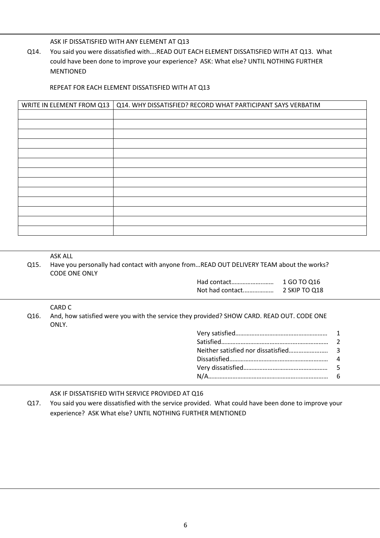ASK IF DISSATISFIED WITH ANY ELEMENT AT Q13

Q14. You said you were dissatisfied with….READ OUT EACH ELEMENT DISSATISFIED WITH AT Q13. What could have been done to improve your experience? ASK: What else? UNTIL NOTHING FURTHER MENTIONED

#### REPEAT FOR EACH ELEMENT DISSATISFIED WITH AT Q13

| WRITE IN ELEMENT FROM Q13 | Q14. WHY DISSATISFIED? RECORD WHAT PARTICIPANT SAYS VERBATIM |
|---------------------------|--------------------------------------------------------------|
|                           |                                                              |
|                           |                                                              |
|                           |                                                              |
|                           |                                                              |
|                           |                                                              |
|                           |                                                              |
|                           |                                                              |
|                           |                                                              |
|                           |                                                              |
|                           |                                                              |
|                           |                                                              |
|                           |                                                              |
|                           |                                                              |
|                           |                                                              |

#### ASK ALL

Q15. Have you personally had contact with anyone from…READ OUT DELIVERY TEAM about the works? CODE ONE ONLY

| Had contact     | 1 GO TO 016   |
|-----------------|---------------|
| Not had contact | 2 SKIP TO 018 |

#### CARD C

Q16. And, how satisfied were you with the service they provided? SHOW CARD. READ OUT. CODE ONE ONLY.

#### ASK IF DISSATISFIED WITH SERVICE PROVIDED AT Q16

Q17. You said you were dissatisfied with the service provided. What could have been done to improve your experience? ASK What else? UNTIL NOTHING FURTHER MENTIONED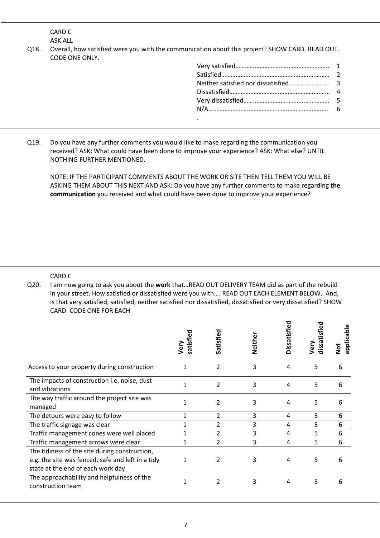CARD C ASK ALL

Q18. Overall, how satisfied were you with the communication about this project? SHOW CARD. READ OUT. CODE ONE ONLY.

Q19. Do you have any further comments you would like to make regarding the communication you received? ASK: What could have been done to improve your experience? ASK: What else? UNTIL NOTHING FURTHER MENTIONED.

NOTE: IF THE PARTICIPANT COMMENTS ABOUT THE WORK OR SITE THEN TELL THEM YOU WILL BE ASKING THEM ABOUT THIS NEXT AND ASK: Do you have any further comments to make regarding **the communication** you received and what could have been done to improve your experience?

CARD C

Q20. I am now going to ask you about the **work** that…READ OUT DELIVERY TEAM did as part of the rebuild in your street. How satisfied or dissatisfied were you with…. READ OUT EACH ELEMENT BELOW. And, is that very satisfied, satisfied, neither satisfied nor dissatisfied, dissatisfied or very dissatisfied? SHOW CARD. CODE ONE FOR EACH

|                                                                                                                                         | satisfied<br>Very | Satisfied | Neither | Dissatisfied | dissatis<br>Very | applicable<br>$\frac{1}{2}$ |
|-----------------------------------------------------------------------------------------------------------------------------------------|-------------------|-----------|---------|--------------|------------------|-----------------------------|
| Access to your property during construction                                                                                             | 1                 | 2         | 3       | 4            | 5                | 6                           |
| The impacts of construction i.e. noise, dust<br>and vibrations                                                                          | 1                 | 2         | 3       | 4            | 5                | 6                           |
| The way traffic around the project site was<br>managed                                                                                  | 1                 | 2         | 3       | 4            | 5                | 6                           |
| The detours were easy to follow                                                                                                         |                   | 2         | 3       | 4            | 5                | 6                           |
| The traffic signage was clear                                                                                                           |                   | 2         | 3       | 4            | 5                | 6                           |
| Traffic management cones were well placed                                                                                               |                   | 2         | 3       | 4            | 5                | 6                           |
| Traffic management arrows were clear                                                                                                    |                   | 2         | 3       | 4            | 5                | 6                           |
| The tidiness of the site during construction,<br>e.g. the site was fenced, safe and left in a tidy<br>state at the end of each work day | 1                 | 2         | 3       | 4            | 5                | 6                           |
| The approachability and helpfulness of the<br>construction team                                                                         |                   | 2         | 3       | 4            | 5                | 6                           |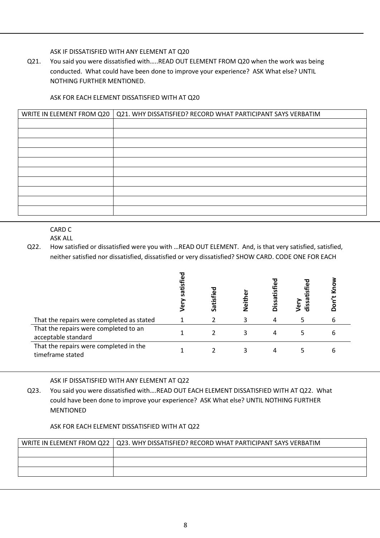ASK IF DISSATISFIED WITH ANY ELEMENT AT Q20

Q21. You said you were dissatisfied with…..READ OUT ELEMENT FROM Q20 when the work was being conducted. What could have been done to improve your experience? ASK What else? UNTIL NOTHING FURTHER MENTIONED.

### ASK FOR EACH ELEMENT DISSATISFIED WITH AT Q20

| WRITE IN ELEMENT FROM Q20   Q21. WHY DISSATISFIED? RECORD WHAT PARTICIPANT SAYS VERBATIM |
|------------------------------------------------------------------------------------------|
|                                                                                          |
|                                                                                          |
|                                                                                          |
|                                                                                          |
|                                                                                          |
|                                                                                          |
|                                                                                          |
|                                                                                          |
|                                                                                          |
|                                                                                          |

CARD C

ASK ALL

Q22. How satisfied or dissatisfied were you with …READ OUT ELEMENT. And, is that very satisfied, satisfied, neither satisfied nor dissatisfied, dissatisfied or very dissatisfied? SHOW CARD. CODE ONE FOR EACH

|                                                              | 5<br>iis<br>ō | Satisfied | ع<br><b>Tieit!</b> | Dissatist | dissatisfied<br>ery) |   |
|--------------------------------------------------------------|---------------|-----------|--------------------|-----------|----------------------|---|
| That the repairs were completed as stated                    |               |           |                    |           |                      | b |
| That the repairs were completed to an<br>acceptable standard |               |           |                    |           | כ                    | b |
| That the repairs were completed in the<br>timeframe stated   |               |           |                    |           |                      | h |

ASK IF DISSATISFIED WITH ANY ELEMENT AT Q22

Q23. You said you were dissatisfied with….READ OUT EACH ELEMENT DISSATISFIED WITH AT Q22. What could have been done to improve your experience? ASK What else? UNTIL NOTHING FURTHER MENTIONED

### ASK FOR EACH ELEMENT DISSATISFIED WITH AT Q22

| WRITE IN ELEMENT FROM Q22   Q23. WHY DISSATISFIED? RECORD WHAT PARTICIPANT SAYS VERBATIM |
|------------------------------------------------------------------------------------------|
|                                                                                          |
|                                                                                          |
|                                                                                          |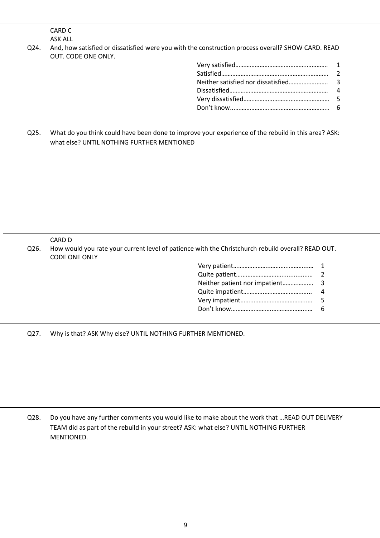CARD C ASK ALL

Q24. And, how satisfied or dissatisfied were you with the construction process overall? SHOW CARD. READ OUT. CODE ONE ONLY.

Q25. What do you think could have been done to improve your experience of the rebuild in this area? ASK: what else? UNTIL NOTHING FURTHER MENTIONED

CARD D

Q26. How would you rate your current level of patience with the Christchurch rebuild overall? READ OUT. CODE ONE ONLY

| 2  |
|----|
|    |
|    |
| 5. |
| 6. |
|    |

Q27. Why is that? ASK Why else? UNTIL NOTHING FURTHER MENTIONED.

Q28. Do you have any further comments you would like to make about the work that …READ OUT DELIVERY TEAM did as part of the rebuild in your street? ASK: what else? UNTIL NOTHING FURTHER MENTIONED.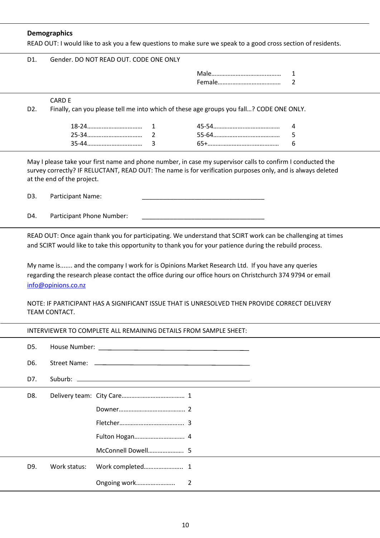# **Demographics**

| D1.              |                                                                                                                                                                                                                                                                                                                                                                                                                                                                |             |                                                                                         |             |
|------------------|----------------------------------------------------------------------------------------------------------------------------------------------------------------------------------------------------------------------------------------------------------------------------------------------------------------------------------------------------------------------------------------------------------------------------------------------------------------|-------------|-----------------------------------------------------------------------------------------|-------------|
|                  | Gender. DO NOT READ OUT. CODE ONE ONLY                                                                                                                                                                                                                                                                                                                                                                                                                         |             |                                                                                         |             |
|                  |                                                                                                                                                                                                                                                                                                                                                                                                                                                                |             |                                                                                         | 1<br>2      |
| D <sub>2</sub> . | <b>CARD E</b>                                                                                                                                                                                                                                                                                                                                                                                                                                                  |             | Finally, can you please tell me into which of these age groups you fall? CODE ONE ONLY. |             |
|                  |                                                                                                                                                                                                                                                                                                                                                                                                                                                                | 1<br>2<br>3 |                                                                                         | 4<br>5<br>6 |
|                  | May I please take your first name and phone number, in case my supervisor calls to confirm I conducted the<br>survey correctly? IF RELUCTANT, READ OUT: The name is for verification purposes only, and is always deleted<br>at the end of the project.                                                                                                                                                                                                        |             |                                                                                         |             |
| D3.              | Participant Name:                                                                                                                                                                                                                                                                                                                                                                                                                                              |             |                                                                                         |             |
| D4.              | Participant Phone Number:                                                                                                                                                                                                                                                                                                                                                                                                                                      |             |                                                                                         |             |
|                  | READ OUT: Once again thank you for participating. We understand that SCIRT work can be challenging at times<br>and SCIRT would like to take this opportunity to thank you for your patience during the rebuild process.<br>My name is and the company I work for is Opinions Market Research Ltd. If you have any queries<br>regarding the research please contact the office during our office hours on Christchurch 374 9794 or email<br>info@opinions.co.nz |             |                                                                                         |             |
|                  | NOTE: IF PARTICIPANT HAS A SIGNIFICANT ISSUE THAT IS UNRESOLVED THEN PROVIDE CORRECT DELIVERY<br>TEAM CONTACT.                                                                                                                                                                                                                                                                                                                                                 |             |                                                                                         |             |
|                  | INTERVIEWER TO COMPLETE ALL REMAINING DETAILS FROM SAMPLE SHEET:                                                                                                                                                                                                                                                                                                                                                                                               |             |                                                                                         |             |
| D5.              |                                                                                                                                                                                                                                                                                                                                                                                                                                                                |             |                                                                                         |             |
| D6.<br>D7.       |                                                                                                                                                                                                                                                                                                                                                                                                                                                                |             |                                                                                         |             |

D9. Work status: Work completed……………….….. 1

Ongoing work…………………... 2